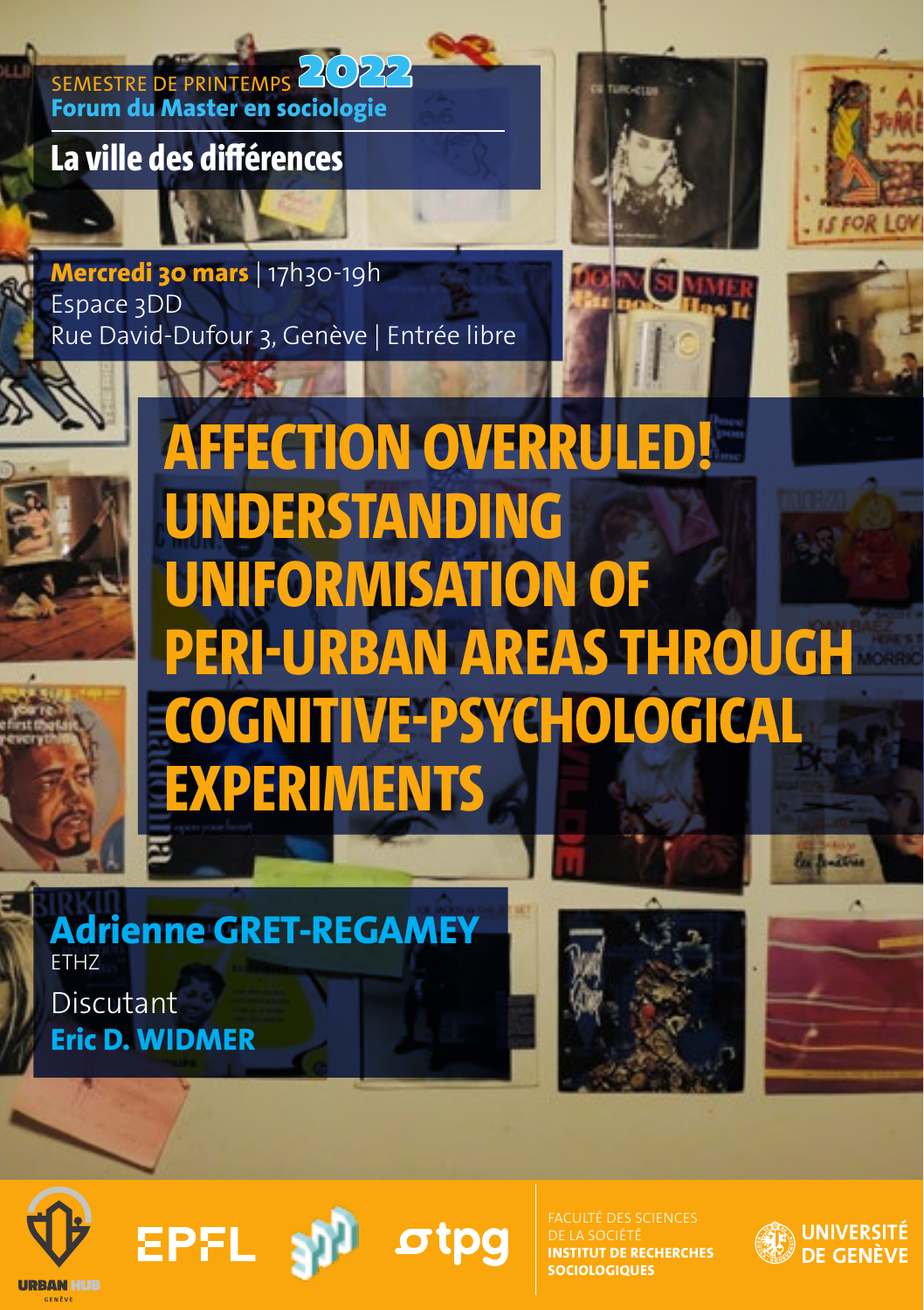SEMESTRE DE PRINTEMPS 2022 **Forum du Master en sociologie**

**ATLANTS** 

**La ville des différences**





**Mercredi 30 mars** | 17h30-19h Espace 3DD Rue David-Dufour 3, Genève | Entrée libre









**Adrienne GRET-REGAMEY** ETHZ Discutant **Eric D. WIDMER**

**EPFL** 







FACULTÉ DES SCIENCES **IUT DE RECHERCHES SOLOGIOLIES** 

otpa